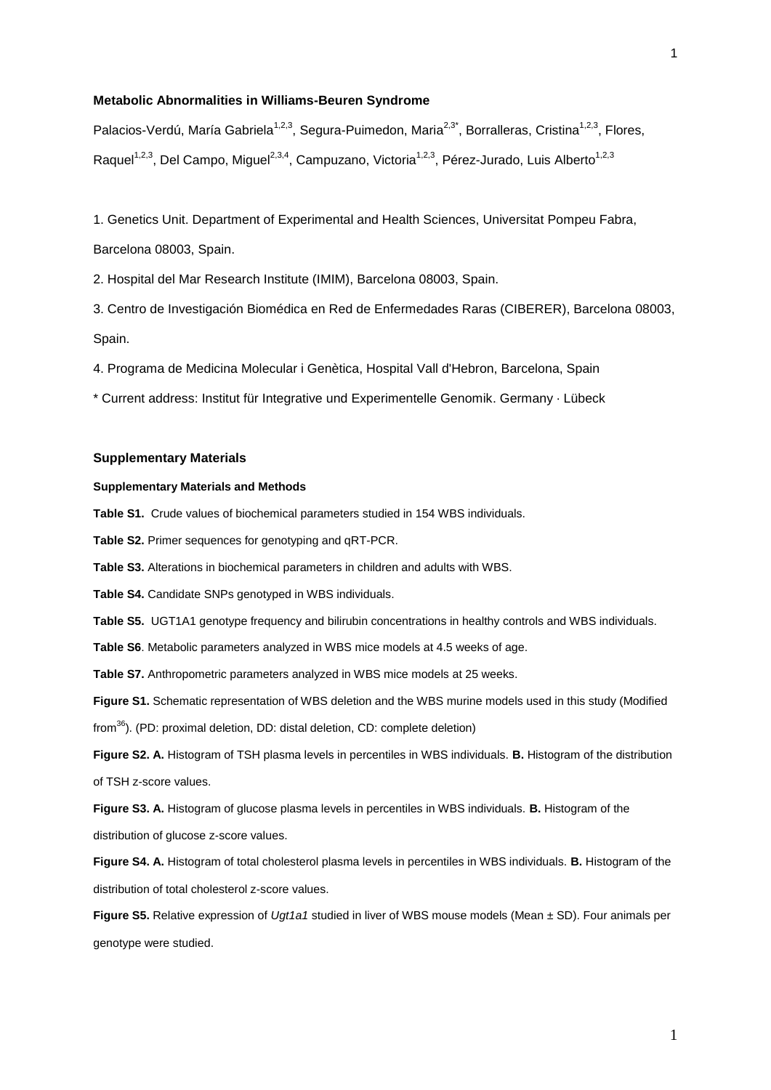Palacios-Verdú, María Gabriela<sup>1,2,3</sup>, Segura-Puimedon, Maria<sup>2,3\*</sup>, Borralleras, Cristina<sup>1,2,3</sup>, Flores, Raquel<sup>1,2,3</sup>, Del Campo, Miguel<sup>2,3,4</sup>, Campuzano, Victoria<sup>1,2,3</sup>, Pérez-Jurado, Luis Alberto<sup>1,2,3</sup>

1. Genetics Unit. Department of Experimental and Health Sciences, Universitat Pompeu Fabra, Barcelona 08003, Spain.

2. Hospital del Mar Research Institute (IMIM), Barcelona 08003, Spain.

3. Centro de Investigación Biomédica en Red de Enfermedades Raras (CIBERER), Barcelona 08003, Spain.

4. Programa de Medicina Molecular i Genètica, Hospital Vall d'Hebron, Barcelona, Spain

\* Current address: Institut für Integrative und Experimentelle Genomik. Germany · Lübeck

#### **Supplementary Materials**

## **Supplementary Materials and Methods**

**Table S1.** Crude values of biochemical parameters studied in 154 WBS individuals.

**Table S2.** Primer sequences for genotyping and qRT-PCR.

**Table S3.** Alterations in biochemical parameters in children and adults with WBS.

**Table S4.** Candidate SNPs genotyped in WBS individuals.

**Table S5.** UGT1A1 genotype frequency and bilirubin concentrations in healthy controls and WBS individuals.

**Table S6**. Metabolic parameters analyzed in WBS mice models at 4.5 weeks of age.

**Table S7.** Anthropometric parameters analyzed in WBS mice models at 25 weeks.

**Figure S1.** Schematic representation of WBS deletion and the WBS murine models used in this study (Modified

from<sup>36</sup>). (PD: proximal deletion, DD: distal deletion, CD: complete deletion)

**Figure S2. A.** Histogram of TSH plasma levels in percentiles in WBS individuals. **B.** Histogram of the distribution of TSH z-score values.

**Figure S3. A.** Histogram of glucose plasma levels in percentiles in WBS individuals. **B.** Histogram of the distribution of glucose z-score values.

**Figure S4. A.** Histogram of total cholesterol plasma levels in percentiles in WBS individuals. **B.** Histogram of the distribution of total cholesterol z-score values.

**Figure S5.** Relative expression of *Ugt1a1* studied in liver of WBS mouse models (Mean ± SD). Four animals per genotype were studied.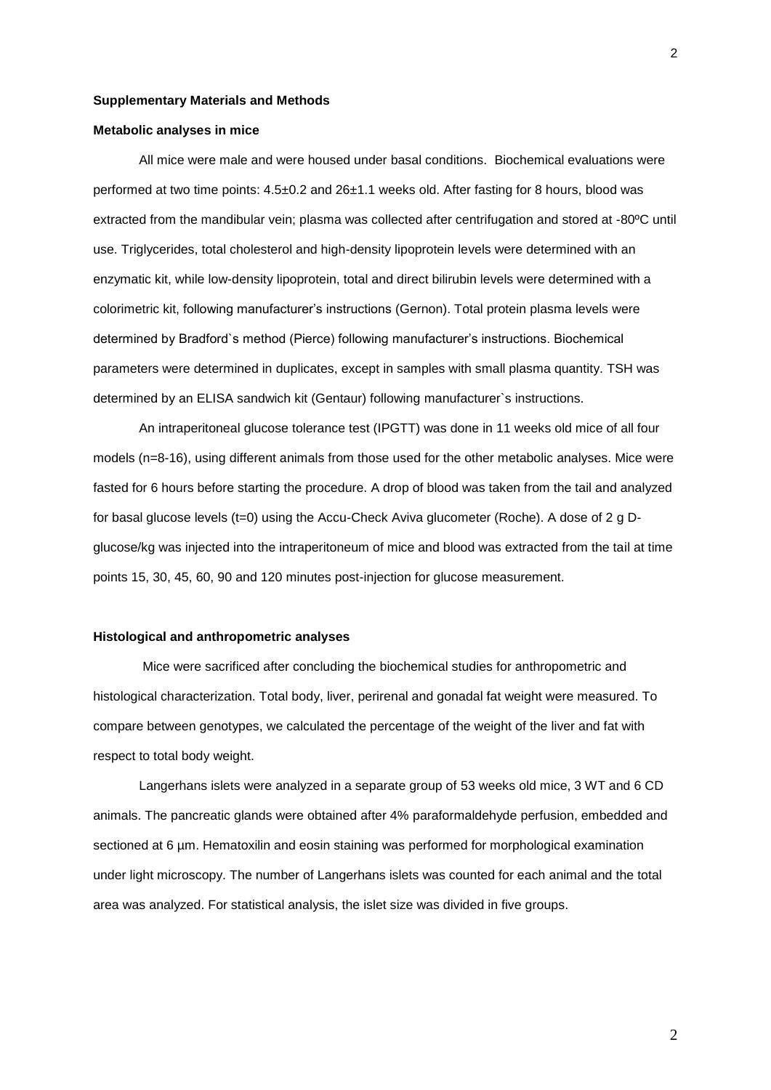#### **Supplementary Materials and Methods**

#### **Metabolic analyses in mice**

All mice were male and were housed under basal conditions. Biochemical evaluations were performed at two time points: 4.5±0.2 and 26±1.1 weeks old. After fasting for 8 hours, blood was extracted from the mandibular vein; plasma was collected after centrifugation and stored at -80ºC until use. Triglycerides, total cholesterol and high-density lipoprotein levels were determined with an enzymatic kit, while low-density lipoprotein, total and direct bilirubin levels were determined with a colorimetric kit, following manufacturer's instructions (Gernon). Total protein plasma levels were determined by Bradford`s method (Pierce) following manufacturer's instructions. Biochemical parameters were determined in duplicates, except in samples with small plasma quantity. TSH was determined by an ELISA sandwich kit (Gentaur) following manufacturer`s instructions.

An intraperitoneal glucose tolerance test (IPGTT) was done in 11 weeks old mice of all four models (n=8-16), using different animals from those used for the other metabolic analyses. Mice were fasted for 6 hours before starting the procedure. A drop of blood was taken from the tail and analyzed for basal glucose levels (t=0) using the Accu-Check Aviva glucometer (Roche). A dose of 2 g Dglucose/kg was injected into the intraperitoneum of mice and blood was extracted from the tail at time points 15, 30, 45, 60, 90 and 120 minutes post-injection for glucose measurement.

## **Histological and anthropometric analyses**

Mice were sacrificed after concluding the biochemical studies for anthropometric and histological characterization. Total body, liver, perirenal and gonadal fat weight were measured. To compare between genotypes, we calculated the percentage of the weight of the liver and fat with respect to total body weight.

Langerhans islets were analyzed in a separate group of 53 weeks old mice, 3 WT and 6 CD animals. The pancreatic glands were obtained after 4% paraformaldehyde perfusion, embedded and sectioned at 6 µm. Hematoxilin and eosin staining was performed for morphological examination under light microscopy. The number of Langerhans islets was counted for each animal and the total area was analyzed. For statistical analysis, the islet size was divided in five groups.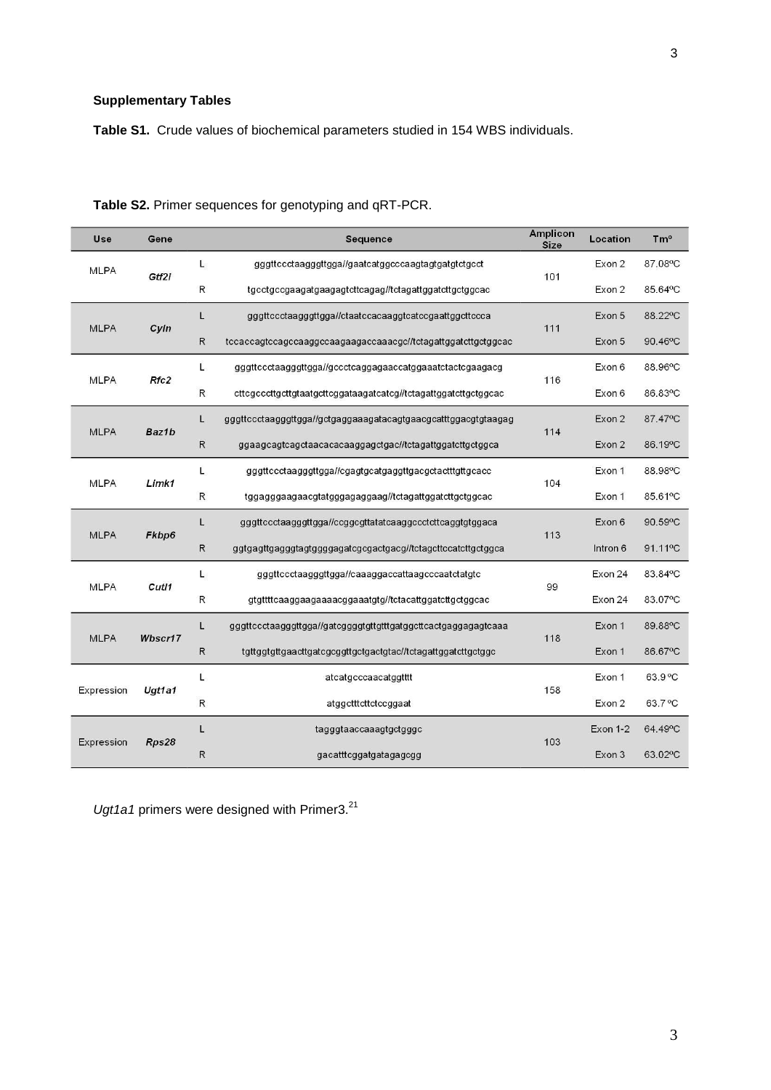# **Supplementary Tables**

**Table S1.** Crude values of biochemical parameters studied in 154 WBS individuals.

| Use         | Gene    |              | Sequence                                                        | <b>Amplicon</b><br><b>Size</b> | Location | T <sub>m</sub> <sup>o</sup> |
|-------------|---------|--------------|-----------------------------------------------------------------|--------------------------------|----------|-----------------------------|
| <b>MLPA</b> | Gtf2i   | L.           | gggttccctaagggttgga//gaatcatggcccaagtagtgatgtctgcct             | 101                            | Exon 2   | 87.08°C                     |
|             |         | R            | tgcctgccgaagatgaagagtcttcagag//tctagattggatcttgctggcac          |                                | Exon 2   | 85.64°C                     |
| <b>MLPA</b> |         | L            | gggttccctaagggttgga//ctaatccacaaggtcatccgaattggcttccca          | 111                            | Exon 5   | 88.22°C                     |
|             | Cyln    | ${\sf R}$    | tccaccagtccagccaaggccaagaagaccaaacgc//tctagattggatcttgctggcac   |                                | Exon 5   | 90.46°C                     |
| <b>MLPA</b> | Rfc2    | L.           | gggttccctaagggttgga//gccctcaggagaaccatggaaatctactcgaagacg       | 116                            | Exon 6   | 88.96°C                     |
|             |         | $\mathsf{R}$ | cttcgcccttgcttgtaatgcttcggataagatcatcg//tctagattggatcttgctggcac |                                | Exon 6   | 86.83°C                     |
| <b>MLPA</b> |         | L            | gggttccctaagggttgga//gctgaggaaagatacagtgaacgcatttggacgtgtaagag  |                                | Exon 2   | 87.47°C                     |
|             | Baz1b   | ${\sf R}$    | ggaagcagtcagctaacacacaaggagctgac//tctagattggatcttgctggca        | 114                            | Exon 2   | 86.19°C                     |
| <b>MLPA</b> | Limk1   | L.           | gggttccctaagggttgga//cgagtgcatgaggttgacgctactttgttgcacc         | 104                            | Exon 1   | 88.98°C                     |
|             |         | ${\sf R}$    | tggagggaagaacgtatgggagaggaag//tctagattggatcttgctggcac           |                                | Exon 1   | 85.61°C                     |
|             | Fkbp6   | L            | gggttccctaagggttgga//ccggcgttatatcaaggccctcttcaggtgtggaca       | 113                            | Exon 6   | 90.59°C                     |
| <b>MLPA</b> |         | $\mathsf{R}$ | ggtgagttgagggtagtggggagatcgcgactgacg//tctagcttccatcttgctggca    |                                | Intron 6 | 91.11°C                     |
|             | Cutl1   | L            | gggttccctaagggttgga//caaaggaccattaagcccaatctatgtc               |                                | Exon 24  | 83.84°C                     |
| <b>MLPA</b> |         | R            | gtgttttcaaggaagaaaacggaaatgtg//tctacattggatcttgctggcac          | 99                             | Exon 24  | 83.07°C                     |
|             |         | L            | gggttccctaagggttgga//gatcggggtgttgtttgatggcttcactgaggagagtcaaa  | 118                            | Exon 1   | 89.88°C                     |
| <b>MLPA</b> | Wbscr17 | $\mathsf{R}$ | tgttggtgttgaacttgatcgcggttgctgactgtac//tctagattggatcttgctggc    |                                | Exon 1   | 86.67°C                     |
| Expression  |         | L            | atcatgcccaacatggtttt                                            |                                | Exon 1   | 63.9 °C                     |
|             | Ugt1a1  | ${\sf R}$    | atggetttetteteeggaat                                            | 158                            | Exon 2   | 63.7°C                      |
|             |         | L            | tagggtaaccaaagtgctgggc                                          |                                | Exon 1-2 | 64.49°C                     |
| Expression  | Rps28   | R            | gacatttcggatgatagagcgg                                          | 103                            | Exon 3   | 63.02°C                     |

| Table S2. Primer sequences for genotyping and qRT-PCR. |  |  |  |  |  |
|--------------------------------------------------------|--|--|--|--|--|
|--------------------------------------------------------|--|--|--|--|--|

Ugt1a1 primers were designed with Primer3.<sup>21</sup>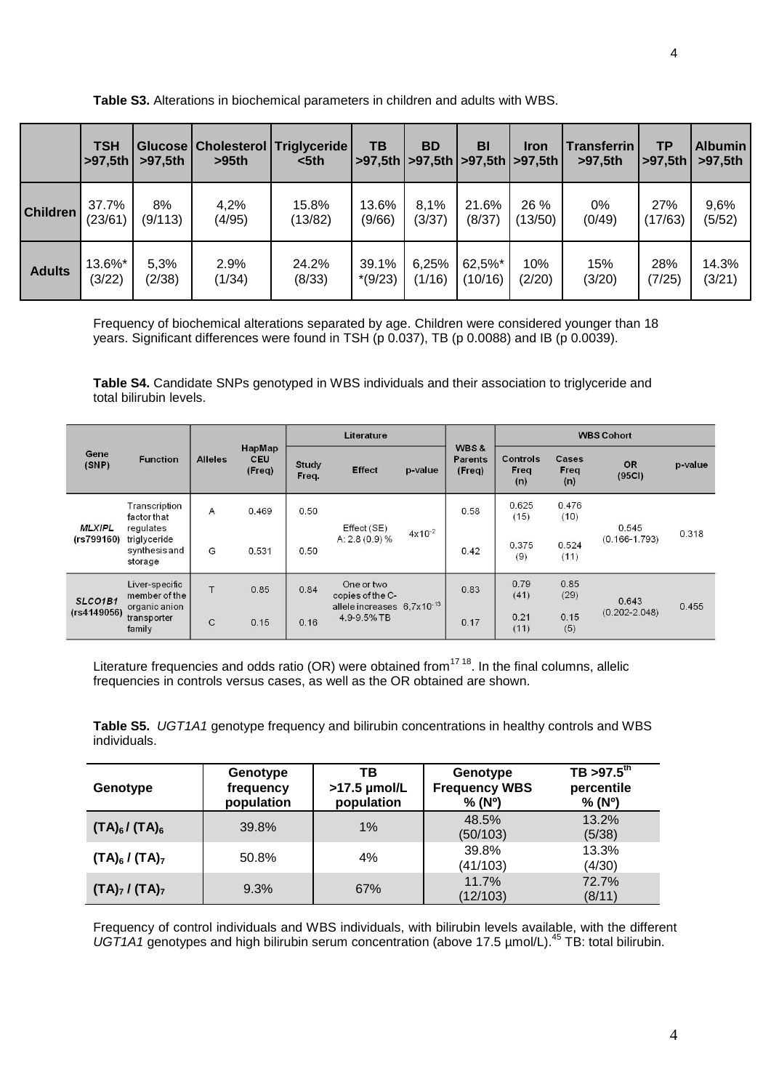|                 | <b>TSH</b><br>>97,5th | >97.5th | >95th  | Glucose   Cholesterol   Triglyceride  <br>$5th$ | TB        | <b>BD</b> | <b>BI</b><br>  >97,5th   >97,5th   >97,5th   >97,5th | <b>Iron</b> | <b>Transferrin</b><br>>97,5th | ТP<br>>97.5th | <b>Albumin</b><br>>97,5th |
|-----------------|-----------------------|---------|--------|-------------------------------------------------|-----------|-----------|------------------------------------------------------|-------------|-------------------------------|---------------|---------------------------|
| <b>Children</b> | 37.7%                 | 8%      | 4,2%   | 15.8%                                           | 13.6%     | 8.1%      | 21.6%                                                | 26 %        | 0%                            | 27%           | 9,6%                      |
|                 | (23/61)               | (9/113) | (4/95) | (13/82)                                         | (9/66)    | (3/37)    | (8/37)                                               | (13/50)     | (0/49)                        | (17/63)       | (5/52)                    |
| <b>Adults</b>   | 13.6%*                | 5,3%    | 2.9%   | 24.2%                                           | 39.1%     | 6,25%     | 62,5%*                                               | 10%         | 15%                           | 28%           | 14.3%                     |
|                 | (3/22)                | (2/38)  | (1/34) | (8/33)                                          | $*(9/23)$ | (1/16)    | (10/16)                                              | (2/20)      | (3/20)                        | (7/25)        | (3/21)                    |

Frequency of biochemical alterations separated by age. Children were considered younger than 18 years. Significant differences were found in TSH (p 0.037), TB (p 0.0088) and IB (p 0.0039).

**Table S4.** Candidate SNPs genotyped in WBS individuals and their association to triglyceride and total bilirubin levels.

| Gene<br>(SNP)               | <b>Function</b>                                                                       |                |                                | Literature            |                                           |             |                                             | <b>WBS Cohort</b>              |                      |                            |         |  |
|-----------------------------|---------------------------------------------------------------------------------------|----------------|--------------------------------|-----------------------|-------------------------------------------|-------------|---------------------------------------------|--------------------------------|----------------------|----------------------------|---------|--|
|                             |                                                                                       | <b>Alleles</b> | HapMap<br><b>CEU</b><br>(Freq) | <b>Study</b><br>Freq. | <b>Effect</b>                             | p-value     | <b>WBS&amp;</b><br><b>Parents</b><br>(Freq) | <b>Controls</b><br>Freq<br>(n) | Cases<br>Freq<br>(n) | <b>OR</b><br>(95C)         | p-value |  |
| <b>MLXIPL</b><br>(rs799160) | Transcription<br>factor that<br>regulates<br>triglyceride<br>synthesis and<br>storage | $\overline{A}$ | 0.469                          | 0.50                  | Effect (SE)<br>$A: 2.8(0.9)$ %            | $4x10^{-2}$ | 0.58                                        | 0.625<br>(15)                  | 0.476<br>(10)        | 0.545<br>$(0.166 - 1.793)$ | 0.318   |  |
|                             |                                                                                       | G              | 0.531                          | 0.50                  |                                           |             | 0.42                                        | 0.375<br>(9)                   | 0.524<br>(11)        |                            |         |  |
| SLCO1B1<br>(rs4149056)      | Liver-specific<br>member of the<br>organic anion<br>transporter<br>family             | T              | 0.85                           | 0.84                  | One or two<br>copies of the C-            |             |                                             | 0.83                           | 0.79<br>(41)         | 0.85<br>(29)               | 0.643   |  |
|                             |                                                                                       | $\mathsf{C}$   | 0.15                           | 0.16                  | allele increases 6,7x10-13<br>4.9-9.5% TB |             | 0.17                                        | 0.21<br>(11)                   | 0.15<br>(5)          | $(0.202 - 2.048)$          | 0.455   |  |

Literature frequencies and odds ratio (OR) were obtained from<sup>17 18</sup>. In the final columns, allelic frequencies in controls versus cases, as well as the OR obtained are shown.

**Table S5.** *UGT1A1* genotype frequency and bilirubin concentrations in healthy controls and WBS individuals.

| Genotype            | Genotype<br>frequency<br>population | тв<br>$>17.5$ µmol/L<br>population | Genotype<br><b>Frequency WBS</b><br>% (N <sup>o</sup> ) | $TB > 97.5^{\text{th}}$<br>percentile<br>% (N <sup>o</sup> ) |
|---------------------|-------------------------------------|------------------------------------|---------------------------------------------------------|--------------------------------------------------------------|
| $(TA)_{6}/(TA)_{6}$ | 39.8%                               | 1%                                 | 48.5%<br>(50/103)                                       | 13.2%<br>(5/38)                                              |
| $(TA)_6 / (TA)_7$   | 50.8%                               | 4%                                 | 39.8%<br>(41/103)                                       | 13.3%<br>(4/30)                                              |
| $(TA)_7 / (TA)_7$   | 9.3%                                | 67%                                | 11.7%<br>(12/103)                                       | 72.7%<br>(8/11)                                              |

Frequency of control individuals and WBS individuals, with bilirubin levels available, with the different *UGT1A1* genotypes and high bilirubin serum concentration (above 17.5 µmol/L).<sup>45</sup> TB: total bilirubin.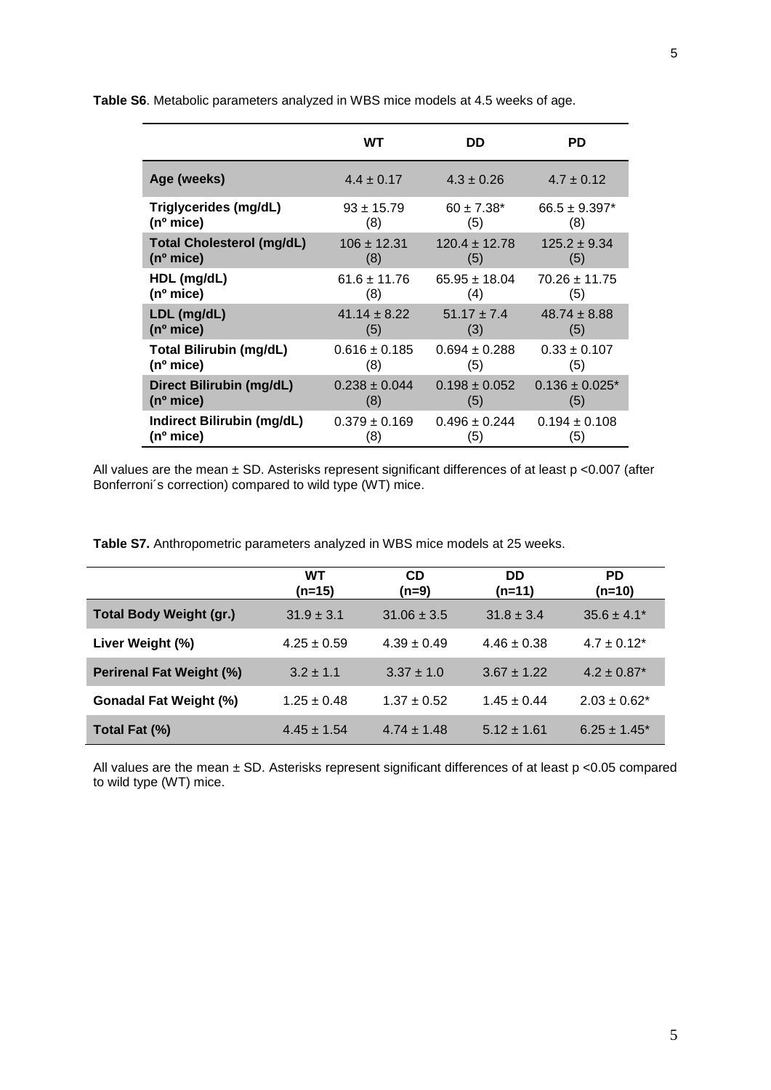|                                   | <b>WT</b>         | DD                | <b>PD</b>                      |
|-----------------------------------|-------------------|-------------------|--------------------------------|
| Age (weeks)                       | $4.4 \pm 0.17$    | $4.3 \pm 0.26$    | $4.7 \pm 0.12$                 |
| Triglycerides (mg/dL)             | $93 \pm 15.79$    | $60 \pm 7.38^*$   | $66.5 \pm 9.397*$              |
| ( n <sup>o</sup> mice)            | (8)               | (5)               | (8)                            |
| <b>Total Cholesterol (mg/dL)</b>  | $106 \pm 12.31$   | $120.4 \pm 12.78$ | $125.2 \pm 9.34$               |
| ( n <sup>o</sup> mice)            | (8)               | (5)               | (5)                            |
| HDL (mg/dL)                       | $61.6 \pm 11.76$  | $65.95 \pm 18.04$ | $70.26 \pm 11.75$              |
| $(n^{\circ}$ mice)                | (8)               | (4)               | (5)                            |
| LDL (mg/dL)                       | $41.14 + 8.22$    | $51.17 + 7.4$     | $48.74 \pm 8.88$               |
| $(n^{\circ}$ mice)                | (5)               | (3)               | (5)                            |
| <b>Total Bilirubin (mg/dL)</b>    | $0.616 \pm 0.185$ | $0.694 \pm 0.288$ | $0.33 \pm 0.107$               |
| ( n <sup>o</sup> mice)            | (8)               | (5)               | (5)                            |
| Direct Bilirubin (mg/dL)          | $0.238 \pm 0.044$ | $0.198 \pm 0.052$ | $0.136 \pm 0.025$ <sup>*</sup> |
| $(n^{\circ}$ mice)                | (8)               | (5)               | (5)                            |
| <b>Indirect Bilirubin (mg/dL)</b> | $0.379 \pm 0.169$ | $0.496 \pm 0.244$ | $0.194 \pm 0.108$              |
| (nº mice)                         | (8)               | (5)               | (5)                            |

**Table S6**. Metabolic parameters analyzed in WBS mice models at 4.5 weeks of age.

All values are the mean  $\pm$  SD. Asterisks represent significant differences of at least p <0.007 (after Bonferroni´s correction) compared to wild type (WT) mice.

**Table S7.** Anthropometric parameters analyzed in WBS mice models at 25 weeks.

|                                | WT<br>$(n=15)$  | <b>CD</b><br>(n=9) | <b>DD</b><br>$(n=11)$ | PD.<br>$(n=10)$             |
|--------------------------------|-----------------|--------------------|-----------------------|-----------------------------|
| <b>Total Body Weight (gr.)</b> | $31.9 \pm 3.1$  | $31.06 \pm 3.5$    | $31.8 \pm 3.4$        | $35.6 \pm 4.1^*$            |
| Liver Weight (%)               | $4.25 \pm 0.59$ | $4.39 \pm 0.49$    | $4.46 \pm 0.38$       | $4.7 \pm 0.12^*$            |
| Perirenal Fat Weight (%)       | $3.2 \pm 1.1$   | $3.37 \pm 1.0$     | $3.67 \pm 1.22$       | $4.2 \pm 0.87$ <sup>*</sup> |
| <b>Gonadal Fat Weight (%)</b>  | $1.25 \pm 0.48$ | $1.37 \pm 0.52$    | $1.45 \pm 0.44$       | $2.03 \pm 0.62^*$           |
| Total Fat (%)                  | $4.45 \pm 1.54$ | $4.74 \pm 1.48$    | $5.12 \pm 1.61$       | $6.25 \pm 1.45^*$           |

All values are the mean ± SD. Asterisks represent significant differences of at least p <0.05 compared to wild type (WT) mice.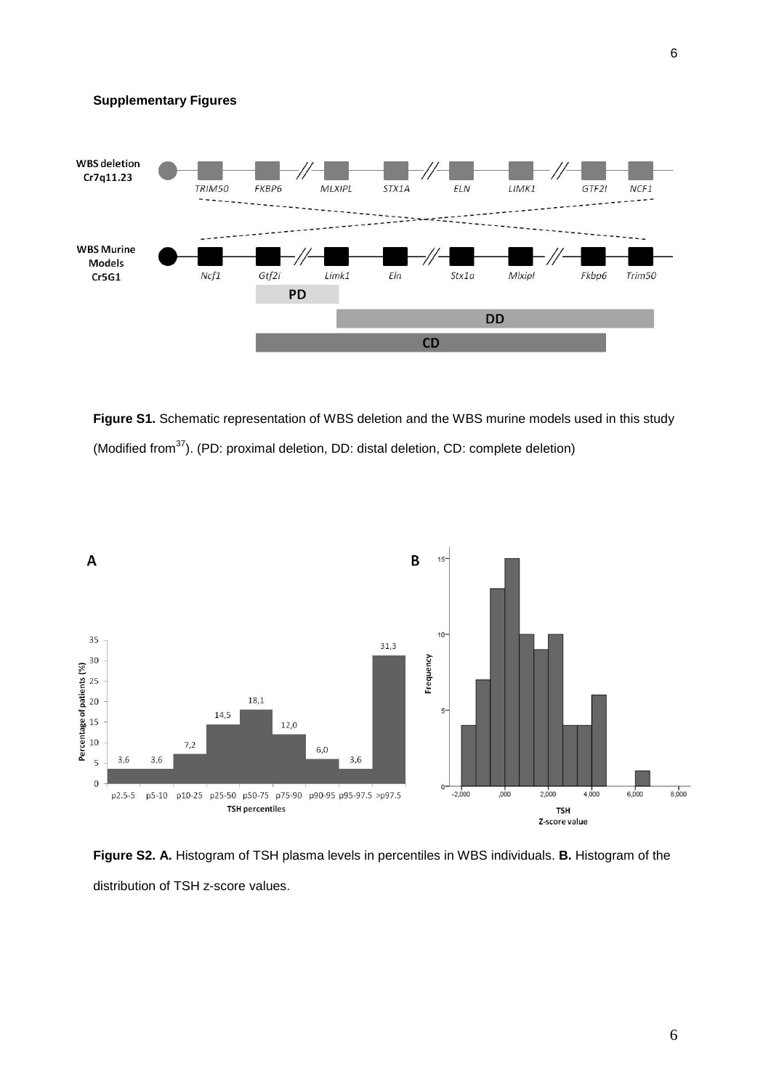

**Figure S1.** Schematic representation of WBS deletion and the WBS murine models used in this study (Modified from $37$ ). (PD: proximal deletion, DD: distal deletion, CD: complete deletion)



**Figure S2. A.** Histogram of TSH plasma levels in percentiles in WBS individuals. **B.** Histogram of the distribution of TSH z-score values.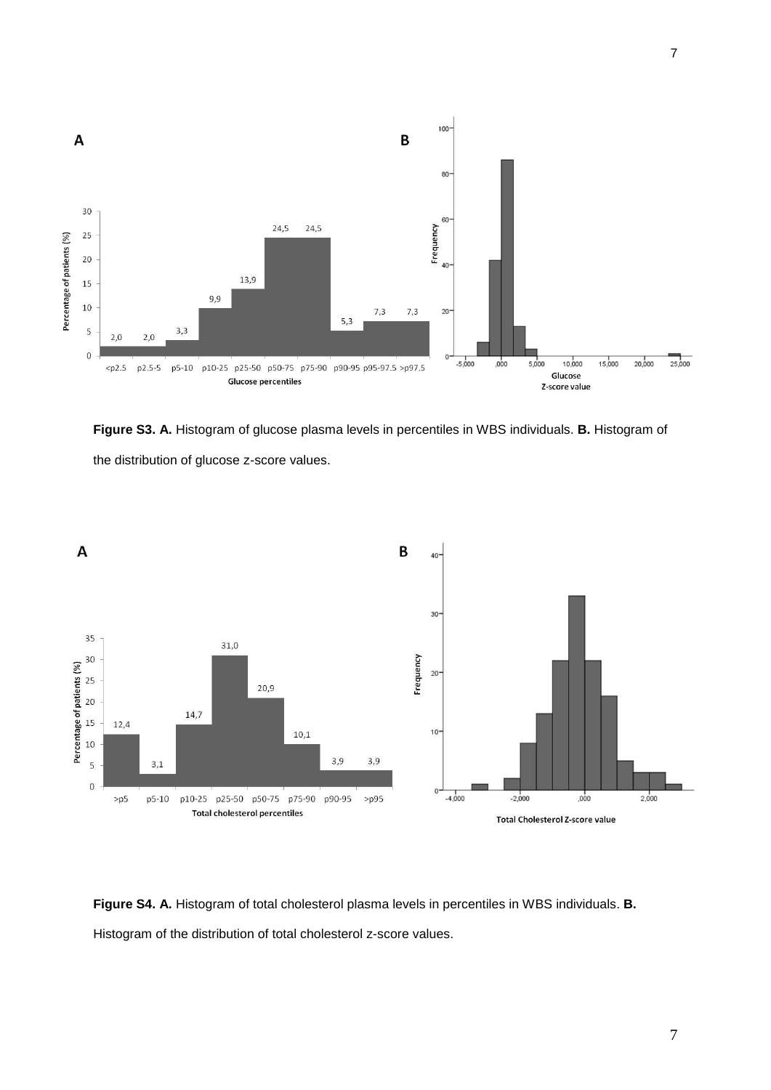

**Figure S3. A.** Histogram of glucose plasma levels in percentiles in WBS individuals. **B.** Histogram of the distribution of glucose z-score values.



**Figure S4. A.** Histogram of total cholesterol plasma levels in percentiles in WBS individuals. **B.** Histogram of the distribution of total cholesterol z-score values.